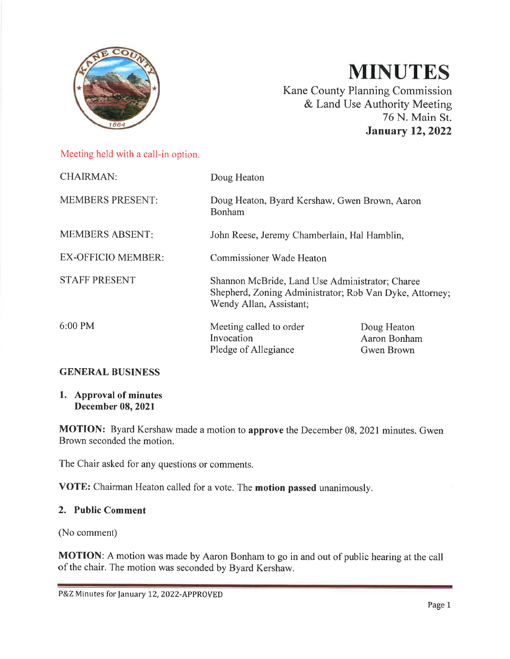

# **MINUTES**

Kane County Planning Commission & Land Use Authority Meeting 76 N. Main St. **January 12, 2022** 

Meeting held with a call-in option.

| <b>CHAIRMAN:</b>          | Doug Heaton                                                                                                                           |                                           |
|---------------------------|---------------------------------------------------------------------------------------------------------------------------------------|-------------------------------------------|
| <b>MEMBERS PRESENT:</b>   | Doug Heaton, Byard Kershaw, Gwen Brown, Aaron<br>Bonham                                                                               |                                           |
| <b>MEMBERS ABSENT:</b>    | John Reese, Jeremy Chamberlain, Hal Hamblin,                                                                                          |                                           |
| <b>EX-OFFICIO MEMBER:</b> | <b>Commissioner Wade Heaton</b>                                                                                                       |                                           |
| <b>STAFF PRESENT</b>      | Shannon McBride, Land Use Administrator; Charee<br>Shepherd, Zoning Administrator; Rob Van Dyke, Attorney;<br>Wendy Allan, Assistant; |                                           |
| $6:00 \text{ PM}$         | Meeting called to order<br>Invocation<br>Pledge of Allegiance                                                                         | Doug Heaton<br>Aaron Bonham<br>Gwen Brown |
| <b>GENERAL BUSINESS</b>   |                                                                                                                                       |                                           |

# 1. Approval of minutes

#### **December 08, 2021**

MOTION: Byard Kershaw made a motion to approve the December 08, 2021 minutes. Gwen Brown seconded the motion.

The Chair asked for any questions or comments.

VOTE: Chairman Heaton called for a vote. The motion passed unanimously.

#### 2. Public Comment

(No comment)

**MOTION:** A motion was made by Aaron Bonham to go in and out of public hearing at the call of the chair. The motion was seconded by Byard Kershaw.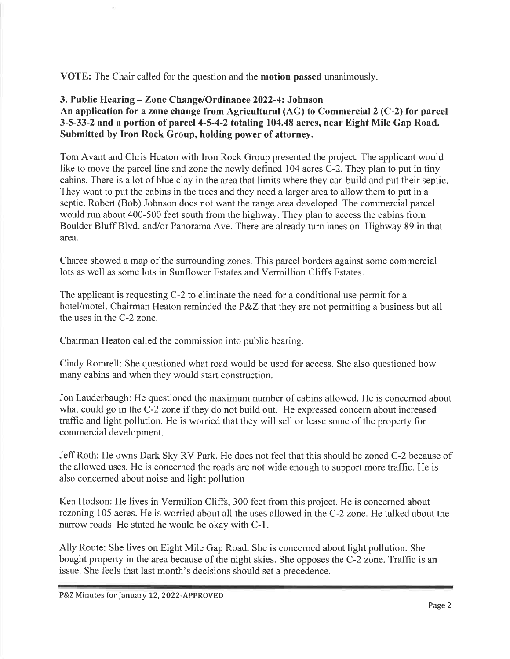**VOTE:** The Chair called for the question and the **motion passed** unanimously.

#### 3. Public Hearing – Zone Change/Ordinance 2022-4: Johnson An application for a zone change from Agricultural  $(AG)$  to Commercial 2 (C-2) for parcel 3-5-33-2 and a portion of parcel 4-5-4-2 totaling 104.48 acres, near Eight Mile Gap Road. Submitted by Iron Rock Group, holding power of attorney.

Tom Avant and Chris Heaton with Iron Rock Group presented the project. The applicant would like to move the parcel line and zone the newly defined 104 acres C-2. They plan to put in tiny cabins. There is a lot of blue clay in the area that limits where they can build and put their septic. They want to put the cabins in the trees and they need a larger area to allow them to put in a septic. Robert (Bob) Johnson does not want the range area developed. The commercial parcel would run about 400-500 feet south from the highway. They plan to access the cabins from Boulder Bluff Blvd. and/or Panorama Ave. There are already turn lanes on Highway 89 in that area.

Charee showed a map of the surrounding zones. This parcel borders against some commercial lots as well as some lots in Sunflower Estates and Vermillion Cliffs Estates.

The applicant is requesting C-2 to eliminate the need for a conditional use permit for a hotel/motel. Chairman Heaton reminded the P&Z that they are not permitting a business but all the uses in the C-2 zone.

Chairman Heaton called the commission into public hearing.

Cindy Romrell: She questioned what road would be used for access. She also questioned how many cabins and when they would start construction.

Jon Lauderbaugh: He questioned the maximum number of cabins allowed. He is concerned about what could go in the C-2 zone if they do not build out. He expressed concern about increased traffic and light pollution. He is worried that they will sell or lease some of the property for commercial development.

Jeff Roth: He owns Dark Sky RV Park. He does not feel that this should be zoned C-2 because of the allowed uses. He is concerned the roads are not wide enough to support more traffic. He is also concerned about noise and light pollution

Ken Hodson: He lives in Vermilion Cliffs, 300 feet from this project. He is concerned about rezoning 105 acres. He is worried about all the uses allowed in the C-2 zone. He talked about the narrow roads. He stated he would be okay with C-1.

Ally Route: She lives on Eight Mile Gap Road. She is concerned about light pollution. She bought property in the area because of the night skies. She opposes the C-2 zone. Traffic is an issue. She feels that last month's decisions should set a precedence.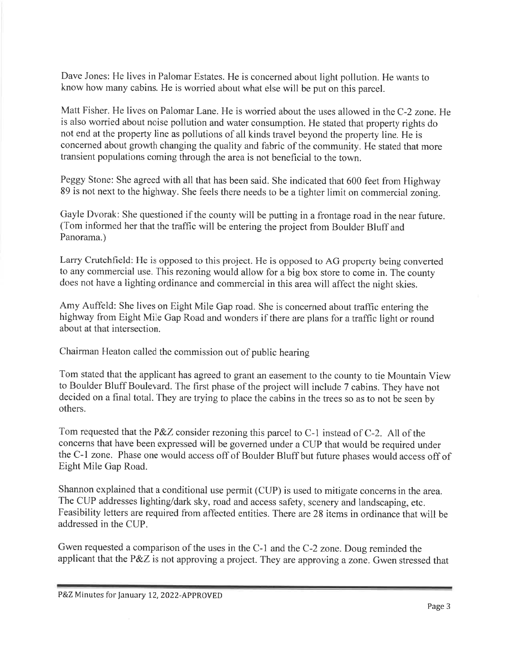Dave Jones: He lives in Palomar Estates. He is concerned about light pollution. He wants to know how many cabins. He is worried about what else will be put on this parcel.

Matt Fisher. He lives on Palomar Lane. He is worried about the uses allowed in the C-2 zone. He is also worried about noise pollution and water consumption. He stated that property rights do not end at the property line as pollutions of all kinds travel beyond the property line. He is concerned about growth changing the quality and fabric of the community. He stated that more transient populations coming through the area is not beneficial to the town.

Peggy Stone: She agreed with all that has been said. She indicated that 600 feet from Highway 89 is not next to the highway. She feels there needs to be a tighter limit on commercial zoning.

Gayle Dvorak: She questioned if the county will be putting in a frontage road in the near future. (Tom informed her that the traffic will be entering the project from Boulder Bluff and Panorama.)

Larry Crutchfield: He is opposed to this project. He is opposed to AG property being converted to any commercial use. This rezoning would allow for a big box store to come in. The county does not have a lighting ordinance and commercial in this area will affect the night skies.

Amy Auffeld: She lives on Eight Mile Gap road. She is concerned about traffic entering the highway from Eight Mile Gap Road and wonders if there are plans for a traffic light or round about at that intersection.

Chairman Heaton called the commission out of public hearing

Tom stated that the applicant has agreed to grant an easement to the county to tie Mountain View to Boulder Bluff Boulevard. The first phase of the project will include 7 cabins. They have not decided on a final total. They are trying to place the cabins in the trees so as to not be seen by others.

Tom requested that the P&Z consider rezoning this parcel to C-1 instead of C-2. All of the concerns that have been expressed will be governed under a CUP that would be required under the C-1 zone. Phase one would access off of Boulder Bluff but future phases would access off of Eight Mile Gap Road.

Shannon explained that a conditional use permit (CUP) is used to mitigate concerns in the area. The CUP addresses lighting/dark sky, road and access safety, scenery and landscaping, etc. Feasibility letters are required from affected entities. There are 28 items in ordinance that will be addressed in the CUP.

Gwen requested a comparison of the uses in the C-1 and the C-2 zone. Doug reminded the applicant that the P&Z is not approving a project. They are approving a zone. Gwen stressed that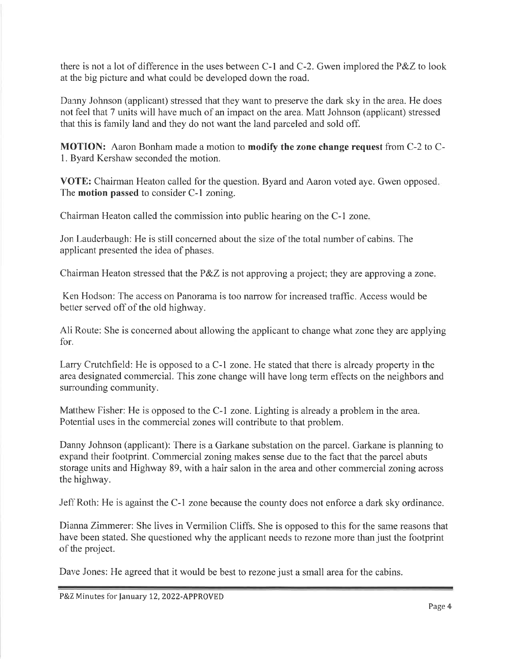there is not a lot of difference in the uses between C-1 and C-2. Gwen implored the P&Z to look at the big picture and what could be developed down the road.

Danny Johnson (applicant) stressed that they want to preserve the dark sky in the area. He does not feel that 7 units will have much of an impact on the area. Matt Johnson (applicant) stressed that this is family land and they do not want the land parceled and sold off.

MOTION: Aaron Bonham made a motion to modify the zone change request from C-2 to C-1. Byard Kershaw seconded the motion.

VOTE: Chairman Heaton called for the question. Byard and Aaron voted aye. Gwen opposed. The **motion passed** to consider C-1 zoning.

Chairman Heaton called the commission into public hearing on the C-1 zone.

Jon Lauderbaugh: He is still concerned about the size of the total number of cabins. The applicant presented the idea of phases.

Chairman Heaton stressed that the P&Z is not approving a project; they are approving a zone.

Ken Hodson: The access on Panorama is too narrow for increased traffic. Access would be better served off of the old highway.

All Route: She is concerned about allowing the applicant to change what zone they are applying for.

Larry Crutchfield: He is opposed to a C-1 zone. He stated that there is already property in the area designated commercial. This zone change will have long term effects on the neighbors and surrounding community.

Matthew Fisher: He is opposed to the C-1 zone. Lighting is already a problem in the area. Potential uses in the commercial zones will contribute to that problem.

Danny Johnson (applicant): There is a Garkane substation on the parcel. Garkane is planning to expand their footprint. Commercial zoning makes sense due to the fact that the parcel abuts storage units and Highway 89, with a hair salon in the area and other commercial zoning across the highway.

Jeff Roth: He is against the C-1 zone because the county does not enforce a dark sky ordinance.

Dianna Zimmerer: She lives in Vermilion Cliffs. She is opposed to this for the same reasons that have been stated. She questioned why the applicant needs to rezone more than just the footprint of the project.

Dave Jones: He agreed that it would be best to rezone just a small area for the cabins.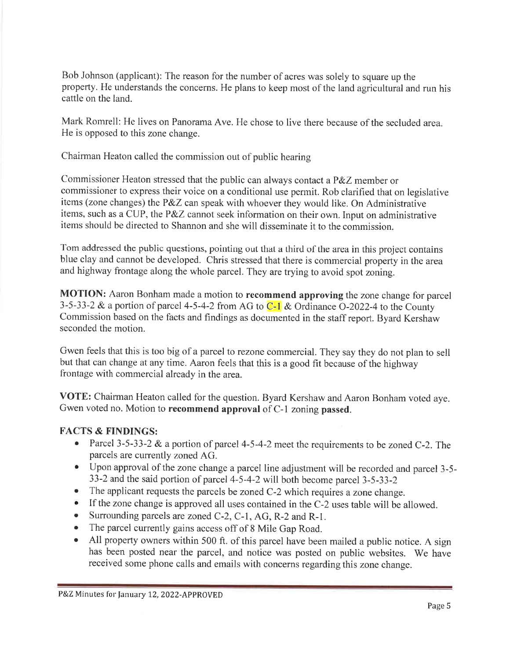Bob Johnson (applicant): The reason for the number of acres was solely to square up the property. He understands the concerns. He plans to keep most of the land agricultural and run his cattle on the land.

Mark Romrell: He lives on Panorama Ave. He chose to live there because of the secluded area. He is opposed to this zone change.

Chairman Heaton called the commission out of public hearing

Commissioner Heaton stressed that the public can always contact a P&Z member or commissioner to express their voice on a conditional use permit. Rob clarified that on legislative items (zone changes) the P&Z can speak with whoever they would like. On Administrative items, such as a CUP, the P&Z cannot seek information on their own. Input on administrative items should be directed to Shannon and she will disseminate it to the commission.

Tom addressed the public questions, pointing out that a third of the area in this project contains blue clay and cannot be developed. Chris stressed that there is commercial property in the area and highway frontage along the whole parcel. They are trying to avoid spot zoning.

MOTION: Aaron Bonham made a motion to recommend approving the zone change for parcel 3-5-33-2 & a portion of parcel 4-5-4-2 from AG to  $C-1$  & Ordinance O-2022-4 to the County Commission based on the facts and findings as documented in the staff report. Byard Kershaw seconded the motion.

Gwen feels that this is too big of a parcel to rezone commercial. They say they do not plan to sell but that can change at any time. Aaron feels that this is a good fit because of the highway frontage with commercial already in the area.

VOTE: Chairman Heaton called for the question. Byard Kershaw and Aaron Bonham voted aye. Gwen voted no. Motion to recommend approval of C-1 zoning passed.

# **FACTS & FINDINGS:**

- Parcel 3-5-33-2 & a portion of parcel 4-5-4-2 meet the requirements to be zoned C-2. The parcels are currently zoned AG.
- Upon approval of the zone change a parcel line adjustment will be recorded and parcel 3-5-33-2 and the said portion of parcel 4-5-4-2 will both become parcel 3-5-33-2
- The applicant requests the parcels be zoned C-2 which requires a zone change.
- If the zone change is approved all uses contained in the C-2 uses table will be allowed.
- Surrounding parcels are zoned C-2, C-1, AG, R-2 and R-1.  $\bullet$
- The parcel currently gains access off of 8 Mile Gap Road.  $\bullet$
- All property owners within 500 ft. of this parcel have been mailed a public notice. A sign  $\bullet$ has been posted near the parcel, and notice was posted on public websites. We have received some phone calls and emails with concerns regarding this zone change.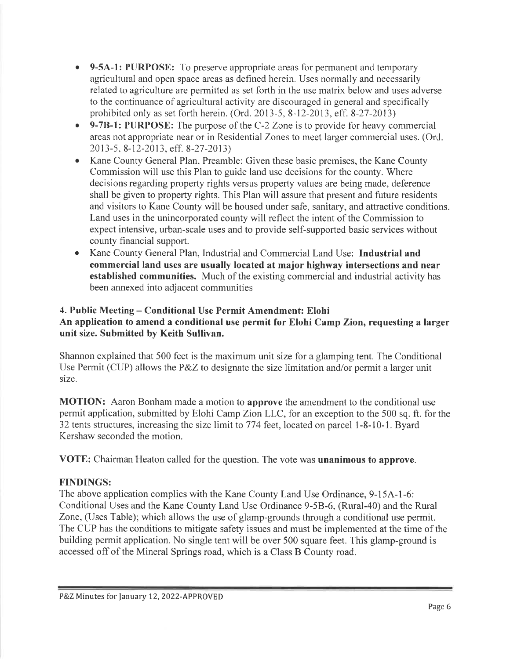- 9-5A-1: PURPOSE: To preserve appropriate areas for permanent and temporary agricultural and open space areas as defined herein. Uses normally and necessarily related to agriculture are permitted as set forth in the use matrix below and uses adverse to the continuance of agricultural activity are discouraged in general and specifically prohibited only as set forth herein. (Ord. 2013-5, 8-12-2013, eff. 8-27-2013)
- 9-7B-1: PURPOSE: The purpose of the C-2 Zone is to provide for heavy commercial areas not appropriate near or in Residential Zones to meet larger commercial uses. (Ord. 2013-5, 8-12-2013, eff. 8-27-2013)
- Kane County General Plan, Preamble: Given these basic premises, the Kane County Commission will use this Plan to guide land use decisions for the county. Where decisions regarding property rights versus property values are being made, deference shall be given to property rights. This Plan will assure that present and future residents and visitors to Kane County will be housed under safe, sanitary, and attractive conditions. Land uses in the unincorporated county will reflect the intent of the Commission to expect intensive, urban-scale uses and to provide self-supported basic services without county financial support.
- Kane County General Plan, Industrial and Commercial Land Use: Industrial and  $\bullet$ commercial land uses are usually located at major highway intersections and near established communities. Much of the existing commercial and industrial activity has been annexed into adjacent communities

#### 4. Public Meeting – Conditional Use Permit Amendment: Elohi An application to amend a conditional use permit for Elohi Camp Zion, requesting a larger unit size. Submitted by Keith Sullivan.

Shannon explained that 500 feet is the maximum unit size for a glamping tent. The Conditional Use Permit (CUP) allows the  $P\&Z$  to designate the size limitation and/or permit a larger unit size.

MOTION: Aaron Bonham made a motion to approve the amendment to the conditional use permit application, submitted by Elohi Camp Zion LLC, for an exception to the 500 sq. ft. for the 32 tents structures, increasing the size limit to 774 feet, located on parcel 1-8-10-1. Byard Kershaw seconded the motion.

VOTE: Chairman Heaton called for the question. The vote was **unanimous to approve**.

# **FINDINGS:**

The above application complies with the Kane County Land Use Ordinance, 9-15A-1-6: Conditional Uses and the Kane County Land Use Ordinance 9-5B-6, (Rural-40) and the Rural Zone, (Uses Table); which allows the use of glamp-grounds through a conditional use permit. The CUP has the conditions to mitigate safety issues and must be implemented at the time of the building permit application. No single tent will be over 500 square feet. This glamp-ground is accessed off of the Mineral Springs road, which is a Class B County road.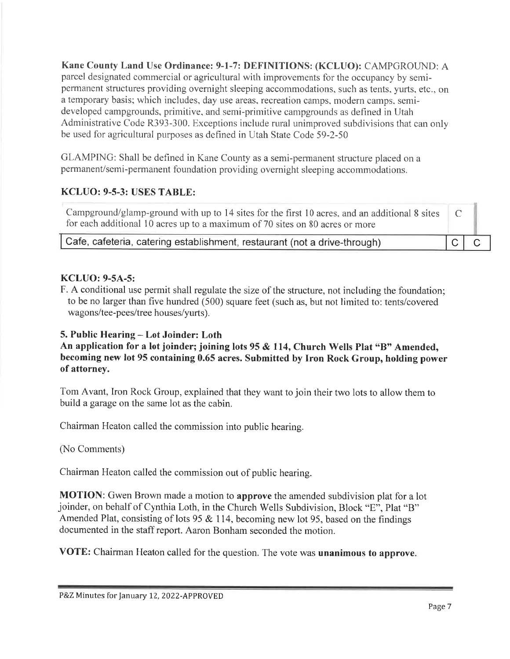Kane County Land Use Ordinance: 9-1-7: DEFINITIONS: (KCLUO): CAMPGROUND: A parcel designated commercial or agricultural with improvements for the occupancy by semipermanent structures providing overnight sleeping accommodations, such as tents, vurts, etc., on a temporary basis; which includes, day use areas, recreation camps, modern camps, semideveloped campgrounds, primitive, and semi-primitive campgrounds as defined in Utah Administrative Code R393-300. Exceptions include rural unimproved subdivisions that can only be used for agricultural purposes as defined in Utah State Code 59-2-50

GLAMPING: Shall be defined in Kane County as a semi-permanent structure placed on a permanent/semi-permanent foundation providing overnight sleeping accommodations.

# **KCLUO: 9-5-3: USES TABLE:**

Campground/glamp-ground with up to 14 sites for the first 10 acres, and an additional 8 sites  $\mathcal{C}$ for each additional 10 acres up to a maximum of 70 sites on 80 acres or more

Cafe, cafeteria, catering establishment, restaurant (not a drive-through)

# **KCLUO: 9-5A-5:**

F. A conditional use permit shall regulate the size of the structure, not including the foundation; to be no larger than five hundred (500) square feet (such as, but not limited to: tents/covered wagons/tee-pees/tree houses/yurts).

# 5. Public Hearing - Lot Joinder: Loth

An application for a lot joinder; joining lots 95 & 114, Church Wells Plat "B" Amended, becoming new lot 95 containing 0.65 acres. Submitted by Iron Rock Group, holding power of attorney.

Tom Avant, Iron Rock Group, explained that they want to join their two lots to allow them to build a garage on the same lot as the cabin.

Chairman Heaton called the commission into public hearing.

# (No Comments)

Chairman Heaton called the commission out of public hearing.

**MOTION:** Gwen Brown made a motion to **approve** the amended subdivision plat for a lot joinder, on behalf of Cynthia Loth, in the Church Wells Subdivision, Block "E", Plat "B" Amended Plat, consisting of lots 95  $&$  114, becoming new lot 95, based on the findings documented in the staff report. Aaron Bonham seconded the motion.

VOTE: Chairman Heaton called for the question. The vote was unanimous to approve.

 $\mathsf{C}^+$ 

 $\overline{C}$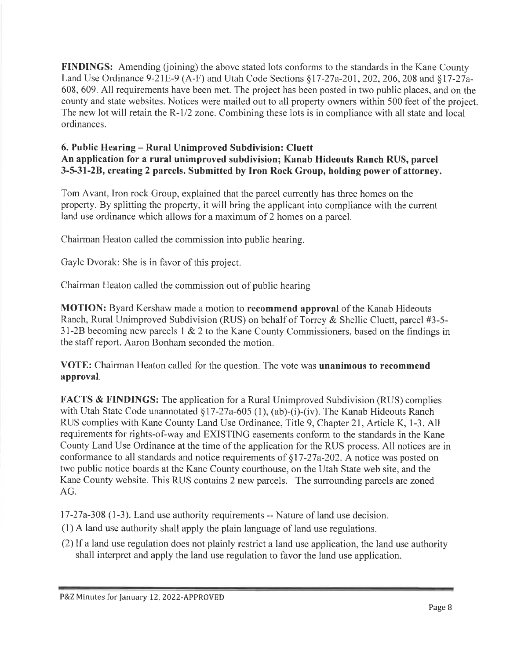**FINDINGS:** Amending (joining) the above stated lots conforms to the standards in the Kane County Land Use Ordinance 9-21E-9 (A-F) and Utah Code Sections §17-27a-201, 202, 206, 208 and §17-27a-608, 609. All requirements have been met. The project has been posted in two public places, and on the county and state websites. Notices were mailed out to all property owners within 500 feet of the project. The new lot will retain the R-1/2 zone. Combining these lots is in compliance with all state and local ordinances.

#### 6. Public Hearing – Rural Unimproved Subdivision: Cluett An application for a rural unimproved subdivision; Kanab Hideouts Ranch RUS, parcel 3-5-31-2B, creating 2 parcels. Submitted by Iron Rock Group, holding power of attorney.

Tom Avant, Iron rock Group, explained that the parcel currently has three homes on the property. By splitting the property, it will bring the applicant into compliance with the current land use ordinance which allows for a maximum of 2 homes on a parcel.

Chairman Heaton called the commission into public hearing.

Gayle Dvorak: She is in favor of this project.

Chairman Heaton called the commission out of public hearing

**MOTION:** Byard Kershaw made a motion to **recommend approval** of the Kanab Hideouts Ranch, Rural Unimproved Subdivision (RUS) on behalf of Torrey & Shellie Cluett, parcel #3-5-31-2B becoming new parcels  $1 \& 2$  to the Kane County Commissioners, based on the findings in the staff report. Aaron Bonham seconded the motion.

VOTE: Chairman Heaton called for the question. The vote was unanimous to recommend approval.

**FACTS & FINDINGS:** The application for a Rural Unimproved Subdivision (RUS) complies with Utah State Code unannotated §17-27a-605 (1), (ab)-(i)-(iv). The Kanab Hideouts Ranch RUS complies with Kane County Land Use Ordinance, Title 9, Chapter 21, Article K, 1-3. All requirements for rights-of-way and EXISTING easements conform to the standards in the Kane County Land Use Ordinance at the time of the application for the RUS process. All notices are in conformance to all standards and notice requirements of  $\S17-27a-202$ . A notice was posted on two public notice boards at the Kane County courthouse, on the Utah State web site, and the Kane County website. This RUS contains 2 new parcels. The surrounding parcels are zoned  $AG.$ 

17-27a-308 (1-3). Land use authority requirements -- Nature of land use decision.

- (1) A land use authority shall apply the plain language of land use regulations.
- (2) If a land use regulation does not plainly restrict a land use application, the land use authority shall interpret and apply the land use regulation to favor the land use application.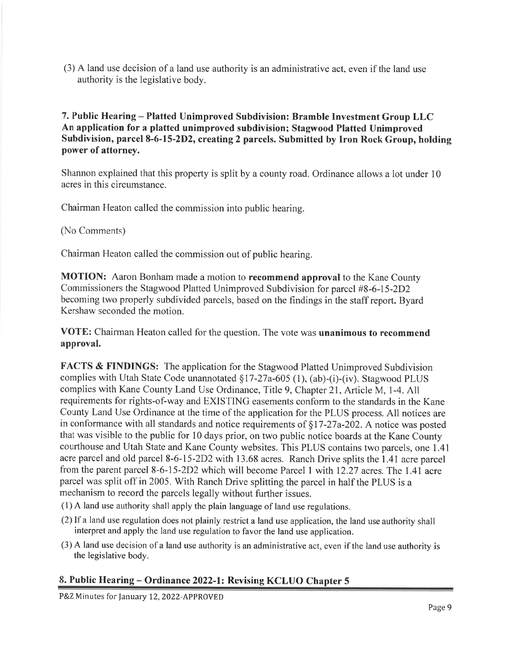(3) A land use decision of a land use authority is an administrative act, even if the land use authority is the legislative body.

7. Public Hearing - Platted Unimproved Subdivision: Bramble Investment Group LLC An application for a platted unimproved subdivision; Stagwood Platted Unimproved Subdivision, parcel 8-6-15-2D2, creating 2 parcels. Submitted by Iron Rock Group, holding power of attorney.

Shannon explained that this property is split by a county road. Ordinance allows a lot under 10 acres in this circumstance.

Chairman Heaton called the commission into public hearing.

(No Comments)

Chairman Heaton called the commission out of public hearing.

**MOTION:** Aaron Bonham made a motion to **recommend approval** to the Kane County Commissioners the Stagwood Platted Unimproved Subdivision for parcel #8-6-15-2D2 becoming two properly subdivided parcels, based on the findings in the staff report. Byard Kershaw seconded the motion.

VOTE: Chairman Heaton called for the question. The vote was unanimous to recommend approval.

**FACTS & FINDINGS:** The application for the Stagwood Platted Unimproved Subdivision complies with Utah State Code unannotated §17-27a-605 (1), (ab)-(i)-(iv). Stagwood PLUS complies with Kane County Land Use Ordinance, Title 9, Chapter 21, Article M, 1-4. All requirements for rights-of-way and EXISTING easements conform to the standards in the Kane County Land Use Ordinance at the time of the application for the PLUS process. All notices are in conformance with all standards and notice requirements of  $\S17-27a-202$ . A notice was posted that was visible to the public for 10 days prior, on two public notice boards at the Kane County courthouse and Utah State and Kane County websites. This PLUS contains two parcels, one 1.41 acre parcel and old parcel 8-6-15-2D2 with 13.68 acres. Ranch Drive splits the 1.41 acre parcel from the parent parcel 8-6-15-2D2 which will become Parcel 1 with 12.27 acres. The 1.41 acre parcel was split off in 2005. With Ranch Drive splitting the parcel in half the PLUS is a mechanism to record the parcels legally without further issues.

- (1) A land use authority shall apply the plain language of land use regulations.
- (2) If a land use regulation does not plainly restrict a land use application, the land use authority shall interpret and apply the land use regulation to favor the land use application.
- (3) A land use decision of a land use authority is an administrative act, even if the land use authority is the legislative body.

#### 8. Public Hearing – Ordinance 2022-1: Revising KCLUO Chapter 5

P&Z Minutes for January 12, 2022-APPROVED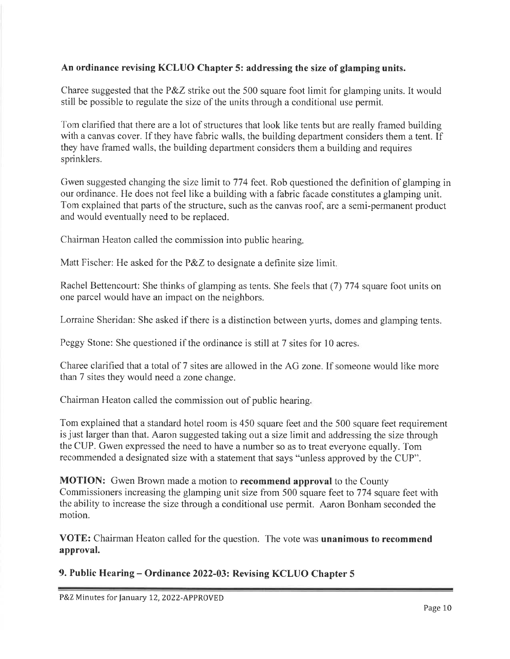#### An ordinance revising KCLUO Chapter 5: addressing the size of glamping units.

Charee suggested that the P&Z strike out the 500 square foot limit for glamping units. It would still be possible to regulate the size of the units through a conditional use permit.

Tom clarified that there are a lot of structures that look like tents but are really framed building with a canvas cover. If they have fabric walls, the building department considers them a tent. If they have framed walls, the building department considers them a building and requires sprinklers.

Gwen suggested changing the size limit to 774 feet. Rob questioned the definition of glamping in our ordinance. He does not feel like a building with a fabric facade constitutes a glamping unit. Tom explained that parts of the structure, such as the canvas roof, are a semi-permanent product and would eventually need to be replaced.

Chairman Heaton called the commission into public hearing.

Matt Fischer: He asked for the P&Z to designate a definite size limit.

Rachel Bettencourt: She thinks of glamping as tents. She feels that (7) 774 square foot units on one parcel would have an impact on the neighbors.

Lorraine Sheridan: She asked if there is a distinction between yurts, domes and glamping tents.

Peggy Stone: She questioned if the ordinance is still at 7 sites for 10 acres.

Charee clarified that a total of 7 sites are allowed in the AG zone. If someone would like more than 7 sites they would need a zone change.

Chairman Heaton called the commission out of public hearing,

Tom explained that a standard hotel room is 450 square feet and the 500 square feet requirement is just larger than that. Aaron suggested taking out a size limit and addressing the size through the CUP. Gwen expressed the need to have a number so as to treat everyone equally. Tom recommended a designated size with a statement that says "unless approved by the CUP".

**MOTION:** Gwen Brown made a motion to **recommend approval** to the County Commissioners increasing the glamping unit size from 500 square feet to 774 square feet with the ability to increase the size through a conditional use permit. Aaron Bonham seconded the motion.

VOTE: Chairman Heaton called for the question. The vote was unanimous to recommend approval.

9. Public Hearing – Ordinance 2022-03: Revising KCLUO Chapter 5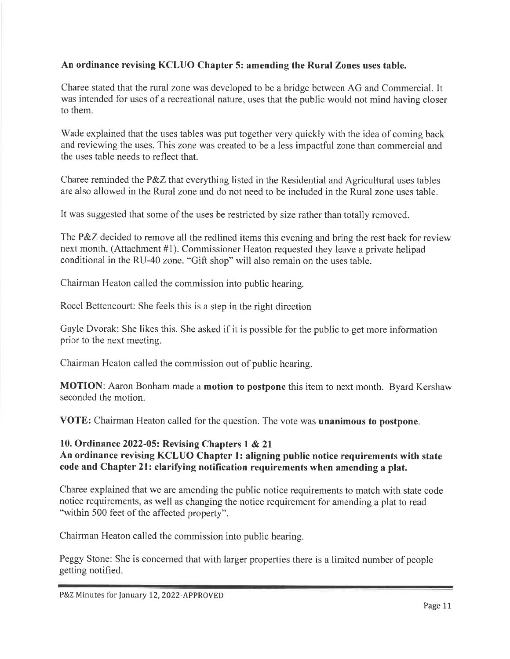#### An ordinance revising KCLUO Chapter 5: amending the Rural Zones uses table.

Charee stated that the rural zone was developed to be a bridge between AG and Commercial. It was intended for uses of a recreational nature, uses that the public would not mind having closer to them

Wade explained that the uses tables was put together very quickly with the idea of coming back and reviewing the uses. This zone was created to be a less impactful zone than commercial and the uses table needs to reflect that.

Charee reminded the P&Z that everything listed in the Residential and Agricultural uses tables are also allowed in the Rural zone and do not need to be included in the Rural zone uses table.

It was suggested that some of the uses be restricted by size rather than totally removed.

The P&Z decided to remove all the redlined items this evening and bring the rest back for review next month. (Attachment #1). Commissioner Heaton requested they leave a private helipad conditional in the RU-40 zone. "Gift shop" will also remain on the uses table.

Chairman Heaton called the commission into public hearing.

Rocel Bettencourt: She feels this is a step in the right direction

Gayle Dvorak: She likes this. She asked if it is possible for the public to get more information prior to the next meeting.

Chairman Heaton called the commission out of public hearing.

MOTION: Aaron Bonham made a motion to postpone this item to next month. Byard Kershaw seconded the motion.

VOTE: Chairman Heaton called for the question. The vote was unanimous to postpone.

#### 10. Ordinance 2022-05: Revising Chapters 1 & 21 An ordinance revising KCLUO Chapter 1: aligning public notice requirements with state code and Chapter 21: clarifying notification requirements when amending a plat.

Charee explained that we are amending the public notice requirements to match with state code notice requirements, as well as changing the notice requirement for amending a plat to read "within 500 feet of the affected property".

Chairman Heaton called the commission into public hearing.

Peggy Stone: She is concerned that with larger properties there is a limited number of people getting notified.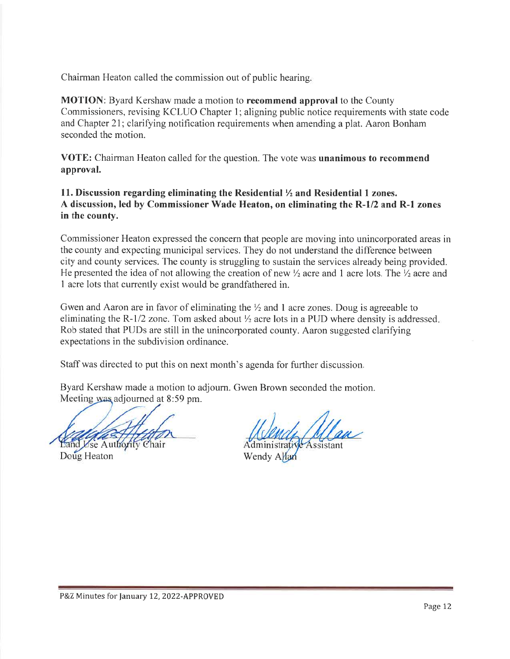Chairman Heaton called the commission out of public hearing.

**MOTION:** Byard Kershaw made a motion to **recommend approval** to the County Commissioners, revising KCLUO Chapter 1; aligning public notice requirements with state code and Chapter 21; clarifying notification requirements when amending a plat. Aaron Bonham seconded the motion.

**VOTE:** Chairman Heaton called for the question. The vote was **unanimous to recommend** approval.

11. Discussion regarding eliminating the Residential  $\frac{1}{2}$  and Residential 1 zones. A discussion, led by Commissioner Wade Heaton, on eliminating the R-1/2 and R-1 zones in the county.

Commissioner Heaton expressed the concern that people are moving into unincorporated areas in the county and expecting municipal services. They do not understand the difference between city and county services. The county is struggling to sustain the services already being provided. He presented the idea of not allowing the creation of new  $\frac{1}{2}$  acre and 1 acre lots. The  $\frac{1}{2}$  acre and 1 acre lots that currently exist would be grandfathered in.

Gwen and Aaron are in favor of eliminating the  $\frac{1}{2}$  and 1 acre zones. Doug is agreeable to eliminating the R-1/2 zone. Tom asked about  $\frac{1}{2}$  acre lots in a PUD where density is addressed. Rob stated that PUDs are still in the unincorporated county. Aaron suggested clarifying expectations in the subdivision ordinance.

Staff was directed to put this on next month's agenda for further discussion.

Byard Kershaw made a motion to adjourn. Gwen Brown seconded the motion. Meeting was adjourned at 8:59 pm.

d Use Authority Chair

Doug Heaton

Administrative Assista

Wendy Allan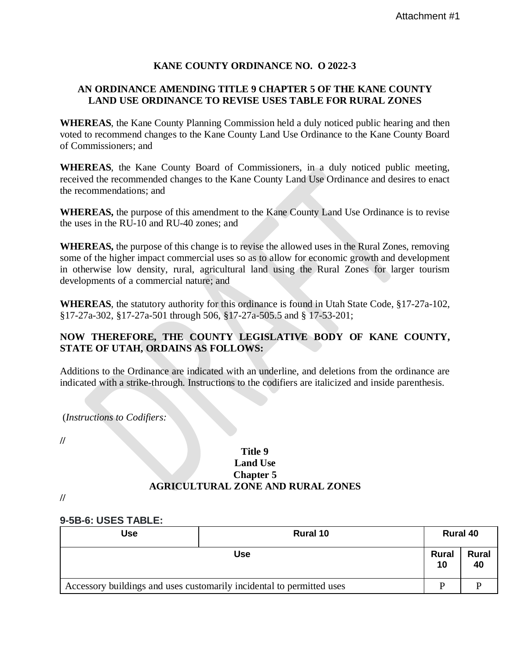#### **KANE COUNTY ORDINANCE NO. O 2022-3**

#### **AN ORDINANCE AMENDING TITLE 9 CHAPTER 5 OF THE KANE COUNTY LAND USE ORDINANCE TO REVISE USES TABLE FOR RURAL ZONES**

**WHEREAS**, the Kane County Planning Commission held a duly noticed public hearing and then voted to recommend changes to the Kane County Land Use Ordinance to the Kane County Board of Commissioners; and

**WHEREAS**, the Kane County Board of Commissioners, in a duly noticed public meeting, received the recommended changes to the Kane County Land Use Ordinance and desires to enact the recommendations; and

**WHEREAS,** the purpose of this amendment to the Kane County Land Use Ordinance is to revise the uses in the RU-10 and RU-40 zones; and

**WHEREAS,** the purpose of this change is to revise the allowed uses in the Rural Zones, removing some of the higher impact commercial uses so as to allow for economic growth and development in otherwise low density, rural, agricultural land using the Rural Zones for larger tourism developments of a commercial nature; and

**WHEREAS**, the statutory authority for this ordinance is found in Utah State Code, §17-27a-102, §17-27a-302, §17-27a-501 through 506, §17-27a-505.5 and § 17-53-201;

#### **NOW THEREFORE, THE COUNTY LEGISLATIVE BODY OF KANE COUNTY, STATE OF UTAH, ORDAINS AS FOLLOWS:**

Additions to the Ordinance are indicated with an underline, and deletions from the ordinance are indicated with a strike-through. Instructions to the codifiers are italicized and inside parenthesis.

(*Instructions to Codifiers:*

**//**

#### **Title 9 Land Use Chapter 5 AGRICULTURAL ZONE AND RURAL ZONES**

**//**

#### **9-5B-6: USES TABLE:**

| <b>Use</b>                                                            | <b>Rural 10</b> |             | <b>Rural 40</b>    |
|-----------------------------------------------------------------------|-----------------|-------------|--------------------|
| <b>Use</b>                                                            |                 | Rural<br>10 | <b>Rural</b><br>40 |
| Accessory buildings and uses customarily incidental to permitted uses |                 | D           |                    |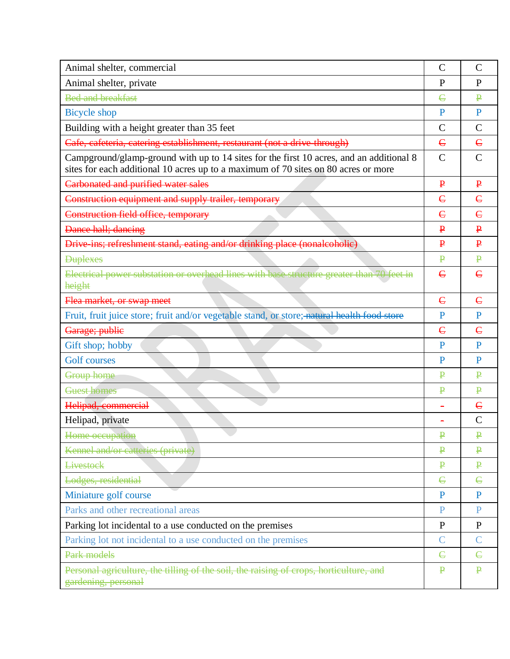| Animal shelter, commercial                                                                                                                                                    |                         | $\mathcal{C}$ |
|-------------------------------------------------------------------------------------------------------------------------------------------------------------------------------|-------------------------|---------------|
| Animal shelter, private                                                                                                                                                       | $\mathbf{P}$            | P             |
| <b>Bed and breakfast</b>                                                                                                                                                      | E                       | ₽             |
| <b>Bicycle</b> shop                                                                                                                                                           | P                       | $\mathbf{P}$  |
| Building with a height greater than 35 feet                                                                                                                                   |                         | $\mathcal{C}$ |
| Cafe, cafeteria, catering establishment, restaurant (not a drive through)                                                                                                     |                         | $\epsilon$    |
| Campground/glamp-ground with up to 14 sites for the first 10 acres, and an additional 8<br>sites for each additional 10 acres up to a maximum of 70 sites on 80 acres or more |                         | $\mathcal{C}$ |
| Carbonated and purified water sales                                                                                                                                           | $\mathbf{P}$            | $\mathbf{P}$  |
| Construction equipment and supply trailer, temporary                                                                                                                          | $\epsilon$              | $\epsilon$    |
| Construction field office, temporary                                                                                                                                          | $\epsilon$              | $\epsilon$    |
| Dance hall; dancing                                                                                                                                                           | $\mathbf{P}$            | $\mathbf{P}$  |
| Drive-ins; refreshment stand, eating and/or drinking place (nonalcoholic)                                                                                                     | $\mathbf{P}$            | $\mathbf{P}$  |
| <b>Duplexes</b>                                                                                                                                                               | $\mathbf{P}$            | $\mathbf{P}$  |
| Electrical power substation or overhead lines with base structure greater than 70 feet in<br>height                                                                           | $\epsilon$              | $\epsilon$    |
| Flea market, or swap meet                                                                                                                                                     | $\epsilon$              | $\epsilon$    |
| Fruit, fruit juice store; fruit and/or vegetable stand, or store; natural health food store                                                                                   | P                       | $\mathbf{P}$  |
| Garage; publie                                                                                                                                                                | $\epsilon$              | $\epsilon$    |
| Gift shop; hobby                                                                                                                                                              | P                       | $\mathbf{P}$  |
| <b>Golf</b> courses                                                                                                                                                           |                         | $\mathbf{P}$  |
| Group home                                                                                                                                                                    | ₽                       | ₽             |
| Guest homes                                                                                                                                                                   | $\overline{\mathbf{P}}$ | $\mathbf{P}$  |
| Helipad, commercial                                                                                                                                                           |                         | $\epsilon$    |
| Helipad, private                                                                                                                                                              |                         | $\mathcal{C}$ |
| Home occupation                                                                                                                                                               | $\mathbf P$             | $\mathbf P$   |
| Kennel and/or catteries (private)                                                                                                                                             | $\mathbf{P}$            | $\mathbf{P}$  |
| <b>Livestock</b>                                                                                                                                                              | $\mathbf P$             | $\mathbf{P}$  |
| Lodges, residential                                                                                                                                                           | $\epsilon$              | $\epsilon$    |
| Miniature golf course                                                                                                                                                         | P                       | P             |
| Parks and other recreational areas                                                                                                                                            | $\mathbf{P}$            | P             |
| Parking lot incidental to a use conducted on the premises                                                                                                                     |                         | $\mathbf{P}$  |
| Parking lot not incidental to a use conducted on the premises                                                                                                                 |                         | $\mathsf{C}$  |
| Park models                                                                                                                                                                   | $\epsilon$              | $\epsilon$    |
| Personal agriculture, the tilling of the soil, the raising of crops, horticulture, and<br>gardening, personal                                                                 |                         | $\mathbf{P}$  |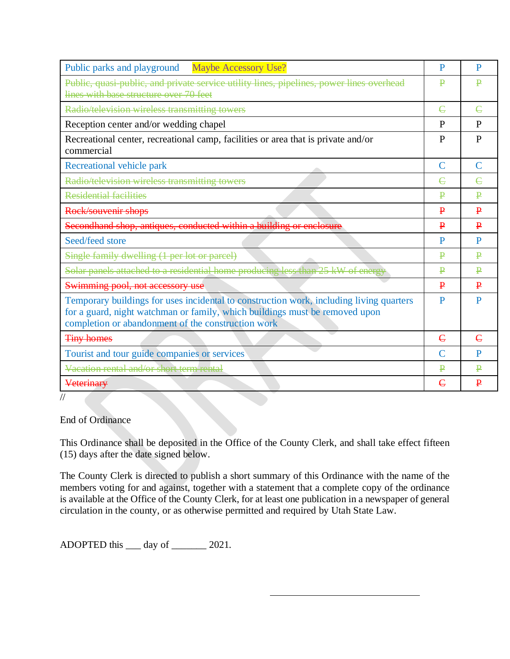| Public parks and playground Maybe Accessory Use?                                                                                                                                                                             | P             | P            |
|------------------------------------------------------------------------------------------------------------------------------------------------------------------------------------------------------------------------------|---------------|--------------|
| Public, quasi-public, and private service utility lines, pipelines, power lines overhead<br>lines with base structure over 70 feet                                                                                           |               | ₽            |
|                                                                                                                                                                                                                              | $\epsilon$    |              |
| Radio/television wireless transmitting towers                                                                                                                                                                                |               | $\epsilon$   |
| Reception center and/or wedding chapel                                                                                                                                                                                       |               | P            |
| Recreational center, recreational camp, facilities or area that is private and/or<br>commercial                                                                                                                              |               | P            |
| Recreational vehicle park                                                                                                                                                                                                    | $\mathcal{C}$ | $\mathsf{C}$ |
| Radio/television wireless transmitting towers                                                                                                                                                                                | $\epsilon$    | $\epsilon$   |
| <b>Residential facilities</b>                                                                                                                                                                                                | ₽             | ₽            |
| Rock/souvenir shops                                                                                                                                                                                                          | $\mathbf{P}$  | $\mathbf{P}$ |
| Secondhand shop, antiques, conducted within a building or enclosure                                                                                                                                                          |               | $\mathbf{P}$ |
| Seed/feed store                                                                                                                                                                                                              | P             | P            |
| Single family dwelling (1 per lot or parcel)                                                                                                                                                                                 |               | ₽            |
| Solar panels attached to a residential home producing less than 25 kW of energy                                                                                                                                              |               | ₽            |
| Swimming pool, not accessory use                                                                                                                                                                                             | $\mathbf{P}$  | $\mathbf{P}$ |
| Temporary buildings for uses incidental to construction work, including living quarters<br>for a guard, night watchman or family, which buildings must be removed upon<br>completion or abandonment of the construction work |               | $\mathbf{P}$ |
| <b>Tiny homes</b>                                                                                                                                                                                                            | $\epsilon$    | $\epsilon$   |
| Tourist and tour guide companies or services                                                                                                                                                                                 | $\mathsf{C}$  | P            |
| Vacation rental and/or short term rental                                                                                                                                                                                     | $\mathbf{p}$  | ₽            |
| Veterinary                                                                                                                                                                                                                   | $\epsilon$    | $\mathbf{P}$ |

//

End of Ordinance

This Ordinance shall be deposited in the Office of the County Clerk, and shall take effect fifteen (15) days after the date signed below.

The County Clerk is directed to publish a short summary of this Ordinance with the name of the members voting for and against, together with a statement that a complete copy of the ordinance is available at the Office of the County Clerk, for at least one publication in a newspaper of general circulation in the county, or as otherwise permitted and required by Utah State Law.

ADOPTED this \_\_\_\_ day of \_\_\_\_\_\_\_ 2021.